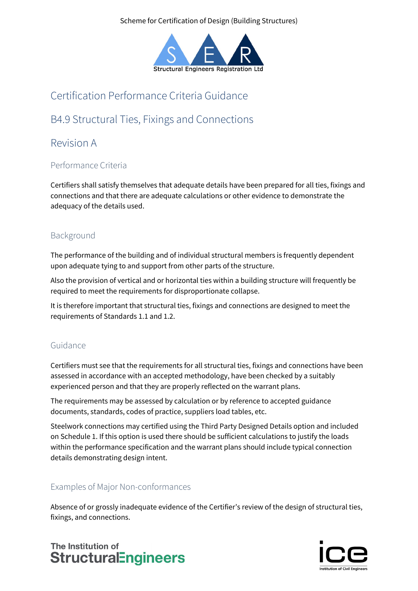Scheme for Certification of Design (Building Structures)



## Certification Performance Criteria Guidance

# B4.9 Structural Ties, Fixings and Connections

### Revision A

### Performance Criteria

Certifiers shall satisfy themselves that adequate details have been prepared for all ties, fixings and connections and that there are adequate calculations or other evidence to demonstrate the adequacy of the details used.

### Background

The performance of the building and of individual structural members is frequently dependent upon adequate tying to and support from other parts of the structure.

Also the provision of vertical and or horizontal ties within a building structure will frequently be required to meet the requirements for disproportionate collapse.

It is therefore important that structural ties, fixings and connections are designed to meet the requirements of Standards 1.1 and 1.2.

#### Guidance

Certifiers must see that the requirements for all structural ties, fixings and connections have been assessed in accordance with an accepted methodology, have been checked by a suitably experienced person and that they are properly reflected on the warrant plans.

The requirements may be assessed by calculation or by reference to accepted guidance documents, standards, codes of practice, suppliers load tables, etc.

Steelwork connections may certified using the Third Party Designed Details option and included on Schedule 1. If this option is used there should be sufficient calculations to justify the loads within the performance specification and the warrant plans should include typical connection details demonstrating design intent.

#### Examples of Major Non-conformances

Absence of or grossly inadequate evidence of the Certifier's review of the design of structural ties, fixings, and connections.